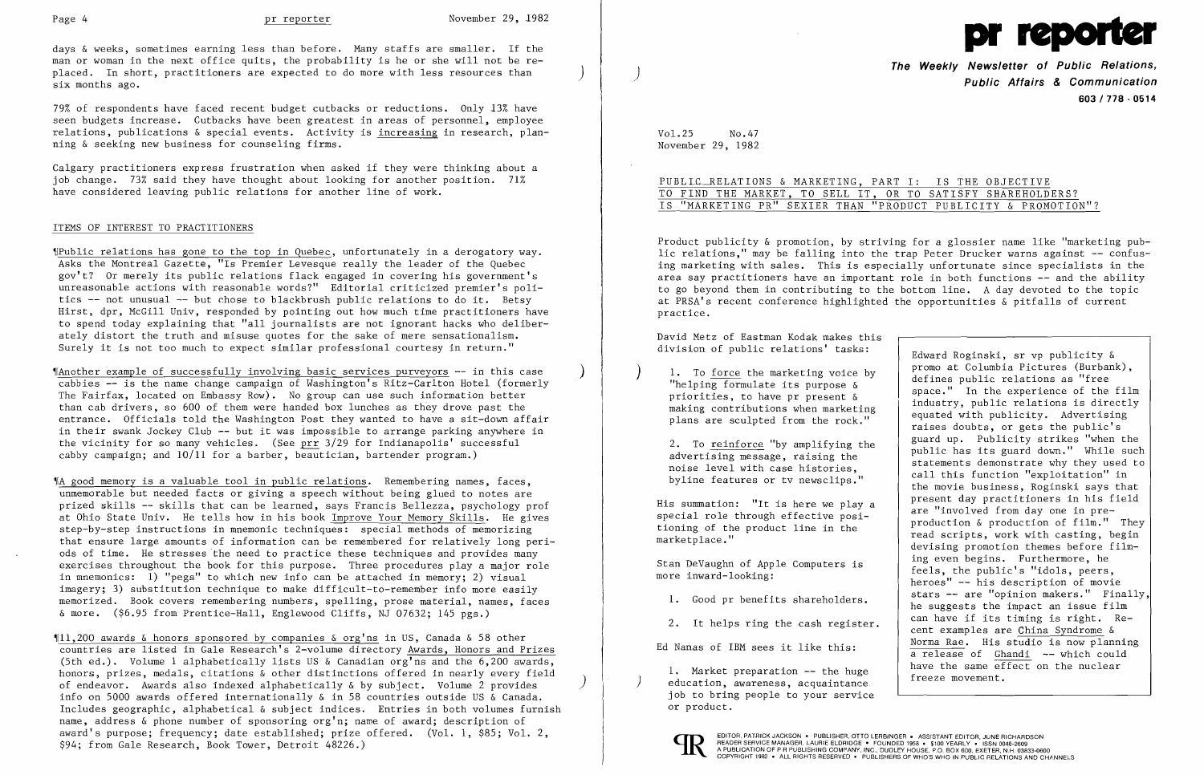Page 4 **pr reporter** November 29, 1982

days & weeks, sometimes earning less than before. Many staffs are smaller. If the man or woman in the next office quits, the probability is he or she will not be replaced. In short, practitioners are expected to do more with less resources than ) six months ago.

79% of respondents have faced recent budget cutbacks or reductions. Only 13% have seen budgets increase. Cutbacks have been greatest in areas of personnel, employee relations, publications & special events. Activity is increasing in research, planning & seeking new business for counseling firms.

Calgary practitioners express frustration when asked if they were thinking about a job change. 73% said they have thought about looking for another position. 71% have considered leaving public relations for another line of work.

~IAnother example of successfully involving basic services purveyors -- in this case ) cabbies -- is the name change campaign of Washington's Ritz-Carlton Hotel (formerly The Fairfax, located on Embassy Row). No group can use such information better than cab drivers, so 600 of them were handed box lunches as they drove past the entrance. Officials told the Washington Post they wanted to have a sit-down affair in their swank Jockey Club -- but it was impossible to arrange parking anywhere in the vicinity for so many vehicles. (See prr 3/29 for Indianapolis' successful cabby campaign; and  $10/11$  for a barber, beautician, bartender program.)

## ITEMS OF INTEREST TO PRACTITIONERS

~Public relations has gone to the top in Quebec, unfortunately in a derogatory way. Asks the Montreal Gazette, "Is Premier Levesque really the leader of the Quebec gov't? Or merely its public relations flack engaged in covering his government's unreasonable actions with reasonable words?" Editorial criticized premier's politics -- not unusual -- but chose to blackbrush public relations to do it. Betsy Hirst, dpr, McGill Univ, responded by pointing out how much time practitioners have to spend today explaining that "all journalists are not ignorant hacks who deliberately distort the truth and misuse quotes for the sake of mere sensationalism. Surely it is not too much to expect similar professional courtesy in return."

 $$11,200$  awards & honors sponsored by companies & org'ns in US, Canada & 58 other countries are listed in Gale Research's 2-volume directory Awards, Honors and Prizes (5th ed.). Volume 1 alphabetically lists US & Canadian  $org'$ ns and the 6,200 awards, honors, prizes, medals, citations & other distinctions offered in nearly every field of endeavor. Awards also indexed alphabetically & by subject. Volume 2 provides ) info on 5000 awards offered internationally & in 58 countries outside US & Canada. Includes geographic, alphabetical & subject indices. Entries in both volumes furnish name, address & phone number of sponsoring org'n; name of award; description of award's purpose; frequency; date established; prize offered. (Vol. 1, \$85; Vol. 2, \$94; from Gale Research, Book Tower, Detroit 48226.)

PUBLIC RELATIONS & MARKETING, PART I: IS THE OBJECTIVE TO FIND THE MARKET, TO SELL IT, OR TO SATISFY SHAREHOLDERS? IS "MARKETING PR" SEXIER THAN "PRODUCT PUBLICITY & PROMOTION"?

~IA good memory is a valuable tool in public relations. Remembering names, faces, unmemorable but needed facts or giving a speech without being glued to notes are prized skills -- skills that can be learned, says Francis Bellezza, psychology prof at Ohio State Univ. He tells how in his book Improve Your Memory Skills. He gives step-by-step instructions in mnemonic techniques: special methods of memorizing that ensure large amounts of information can be remembered for relatively long periods of time. He stresses the need to practice these techniques and provides many exercises throughout the book for this purpose. Three procedures playa major role in mnemonics: 1) "pegs" to which new info can be attached in memory; 2) visual imagery; 3) substitution technique to make difficult-to-remember info more easily memorized. Book covers remembering numbers, spelling, prose material, names, faces & more. (\$6.95 from Prentice-Hall, Englewood Cliffs, NJ 07632; 145 pgs.)



**The Weekly Newsletter of Public Relations,** ) **Public Affairs & Communication 603/718 - 0514** 

Edward Roginski, sr vp publicity &<br>promo at Columbia Pictures (Burbank), ) 1. To <u>force</u> the marketing voice by<br>
"helping formulate its purpose &<br>
priorities, to have pr present &<br>
making contributions when marketing<br>
plans are sculpted from the rock."<br>
and the public relations is directly<br>
rin 2. To <u>reinforce</u> "by amplifying the 2. To reinforce "by amplifying the public has its guard down." While such advertising message, raising the public has its guard down." While such advertising message, raising the statem byline features or tv newsclips." call this function "exploitation" in byline features or tv newsclips." the movie business, Roginski says that His summation: "It is here we play a  $\left\{\begin{array}{c} \text{present day practitioners in his field} \\ \text{are "involved from day one in pre-} \end{array}\right.$ are "involved from day one in pre-<br>tioning of the product line in the production & production of film." They<br>marketplace." devising promotion themes before film-Stan DeVaughn of Apple Computers is feels, the public's "idols, peers, more inward-looking:<br>more inward-looking: heroes" -- his description of movie 1. Good pr benefits shareholders.  $\begin{vmatrix} \text{stars} & - \text{ are "opinion makers."} \\ \text{he suggests the impact an issue film} \end{vmatrix}$ 2. It helps ring the cash register.  $\begin{vmatrix} \text{can have if its timing is right.} \\ \text{cent examples are China Syndrome &$ Ed Nanas of IBM sees it like this: Norma Rae. His studio is now planning a release of Ghandi -- which could 1. Market preparation -- the huge  $\begin{array}{c} \begin{array}{|l} \hline \end{array} & \text{have the same effect on the nuclear education, awareness, acquaintance} & \end{array}$ 

Vol.25 No.47 November 29, 1982

Product publicity & promotion, by striving for a glossier name like "marketing public relations," may be falling into the trap Peter Drucker warns against -- confusing marketing with sales. This is especially unfortunate since specialists in the area say practitioners have an important role in both functions -- and the ability to go beyond them in contributing to the bottom line. A day devoted to the topic at PRSA's recent conference highlighted the opportunities & pitfalls of current practice.

David Metz of Eastman Kodak makes this division of public relations' tasks:

job to bring people to your service or product.